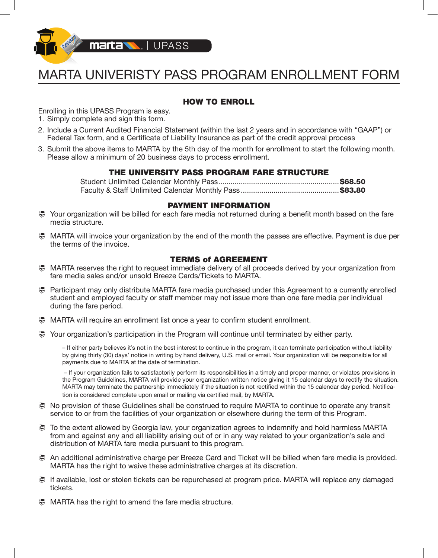

# MARTA UNIVERISTY PASS PROGRAM ENROLLMENT FORM

## HOW TO ENROLL

Enrolling in this UPASS Program is easy.

- 1. Simply complete and sign this form.
- 2. Include a Current Audited Financial Statement (within the last 2 years and in accordance with "GAAP") or Federal Tax form, and a Certificate of Liability Insurance as part of the credit approval process
- 3. Submit the above items to MARTA by the 5th day of the month for enrollment to start the following month. Please allow a minimum of 20 business days to process enrollment.

## THE UNIVERSITY PASS PROGRAM FARE STRUCTURE

Student Unlimited Calendar Monthly Pass...........................................................\$68.50 Faculty & Staff Unlimited Calendar Monthly Pass................................................\$83.80

### PAYMENT INFORMATION

- Your organization will be billed for each fare media not returned during a benefit month based on the fare media structure.
- MARTA will invoice your organization by the end of the month the passes are effective. Payment is due per the terms of the invoice.

### TERMS of AGREEMENT

- MARTA reserves the right to request immediate delivery of all proceeds derived by your organization from fare media sales and/or unsold Breeze Cards/Tickets to MARTA.
- Participant may only distribute MARTA fare media purchased under this Agreement to a currently enrolled student and employed faculty or staff member may not issue more than one fare media per individual during the fare period.
- MARTA will require an enrollment list once a year to confirm student enrollment.
- Your organization's participation in the Program will continue until terminated by either party.

– If either party believes it's not in the best interest to continue in the program, it can terminate participation without liability by giving thirty (30) days' notice in writing by hand delivery, U.S. mail or email. Your organization will be responsible for all payments due to MARTA at the date of termination.

 – If your organization fails to satisfactorily perform its responsibilities in a timely and proper manner, or violates provisions in the Program Guidelines, MARTA will provide your organization written notice giving it 15 calendar days to rectify the situation. MARTA may terminate the partnership immediately if the situation is not rectified within the 15 calendar day period. Notification is considered complete upon email or mailing via certified mail, by MARTA.

- No provision of these Guidelines shall be construed to require MARTA to continue to operate any transit service to or from the facilities of your organization or elsewhere during the term of this Program.
- To the extent allowed by Georgia law, your organization agrees to indemnify and hold harmless MARTA from and against any and all liability arising out of or in any way related to your organization's sale and distribution of MARTA fare media pursuant to this program.
- An additional administrative charge per Breeze Card and Ticket will be billed when fare media is provided. MARTA has the right to waive these administrative charges at its discretion.
- If available, lost or stolen tickets can be repurchased at program price. MARTA will replace any damaged tickets.
- **E** MARTA has the right to amend the fare media structure.